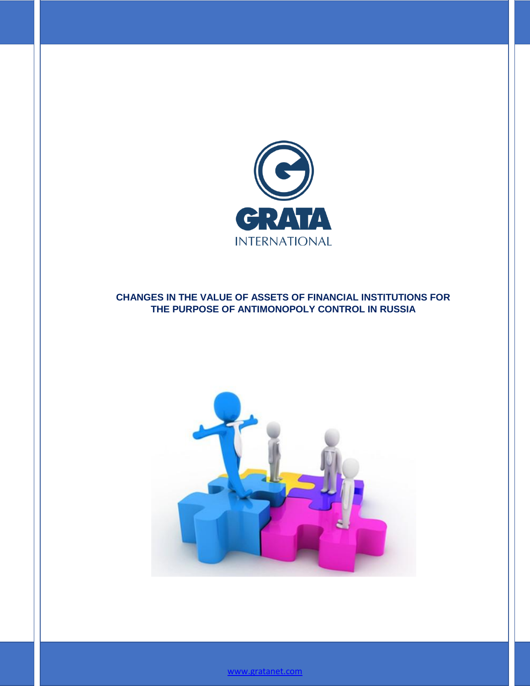

## **CHANGES IN THE VALUE OF ASSETS OF FINANCIAL INSTITUTIONS FOR THE PURPOSE OF ANTIMONOPOLY CONTROL IN RUSSIA**



[www.gratanet.com](file:///C:\Documents%20and%20Settings\Daleyeva\���%20���������\Downloads\www.gratanet.com)